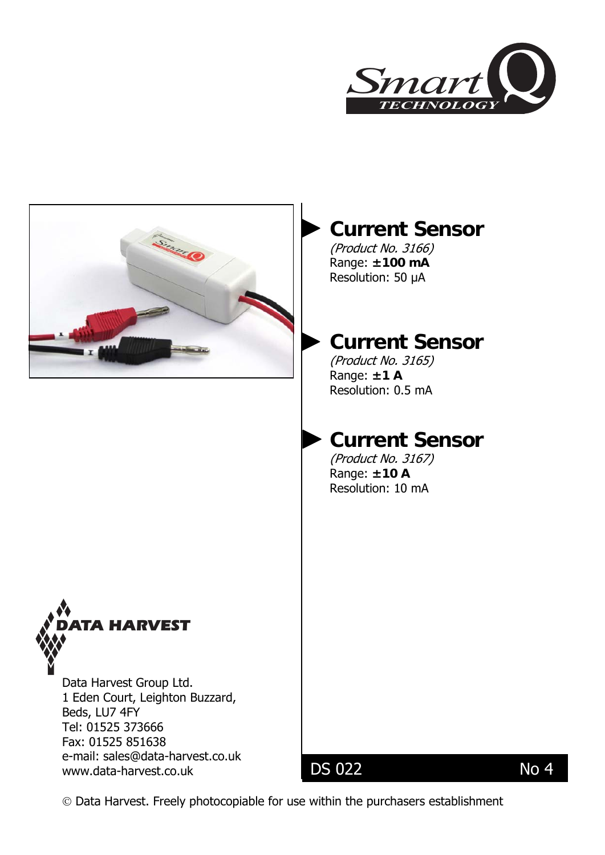



# **Current Sensor**

(Product No. 3166) Range: **±100 mA** Resolution: 50 μA

## **Current Sensor**

(Product No. 3165) Range: **±1 A**  Resolution: 0.5 mA

# **Current Sensor**

[\(Product No. 3167\)](mailto:sales@data-harvest.co.uk)  Range: **±10 A**  Resolution: 10 mA



Data Harvest Group Ltd. 1 Eden Court, Leighton Buzzard, Beds, LU7 4FY Tel: 01525 373666 Fax: 01525 851638 e-mail: [sales@data-harvest.co.uk](mailto:sales@data-harvest.co.uk)  www.data-harvest.co.uk DS 022 No 4

© Data Harvest. Freely photocopiable for use within the purchasers establishment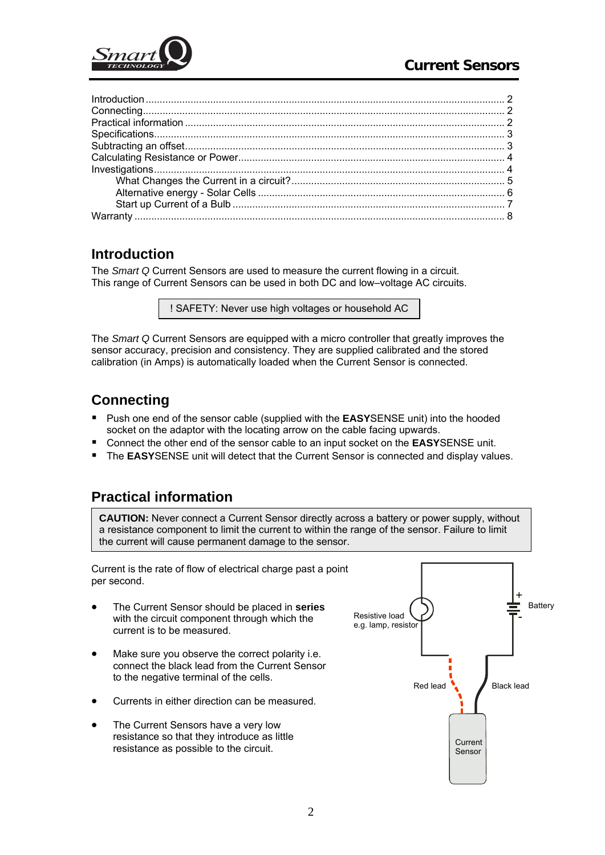<span id="page-1-0"></span>

## **Introduction**

The *Smart Q* Current Sensors are used to measure the current flowing in a circuit. This range of Current Sensors can be used in both DC and low–voltage AC circuits.

! SAFETY: Never use high voltages or household AC

The *Smart Q* Current Sensors are equipped with a micro controller that greatly improves the sensor accuracy, precision and consistency. They are supplied calibrated and the stored calibration (in Amps) is automatically loaded when the Current Sensor is connected.

## **Connecting**

- **Push one end of the sensor cable (supplied with the <b>EASY**SENSE unit) into the hooded socket on the adaptor with the locating arrow on the cable facing upwards.
- Connect the other end of the sensor cable to an input socket on the **EASY**SENSE unit.
- **The EASY**SENSE unit will detect that the Current Sensor is connected and display values.

## **Practical information**

**CAUTION:** Never connect a Current Sensor directly across a battery or power supply, without a resistance component to limit the current to within the range of the sensor. Failure to limit the current will cause permanent damage to the sensor.

Current is the rate of flow of electrical charge past a point per second.

- The Current Sensor should be placed in **series** with the circuit component through which the current is to be measured.
- Make sure you observe the correct polarity i.e. connect the black lead from the Current Sensor to the negative terminal of the cells.
- Currents in either direction can be measured.
- The Current Sensors have a very low resistance so that they introduce as little resistance as possible to the circuit.

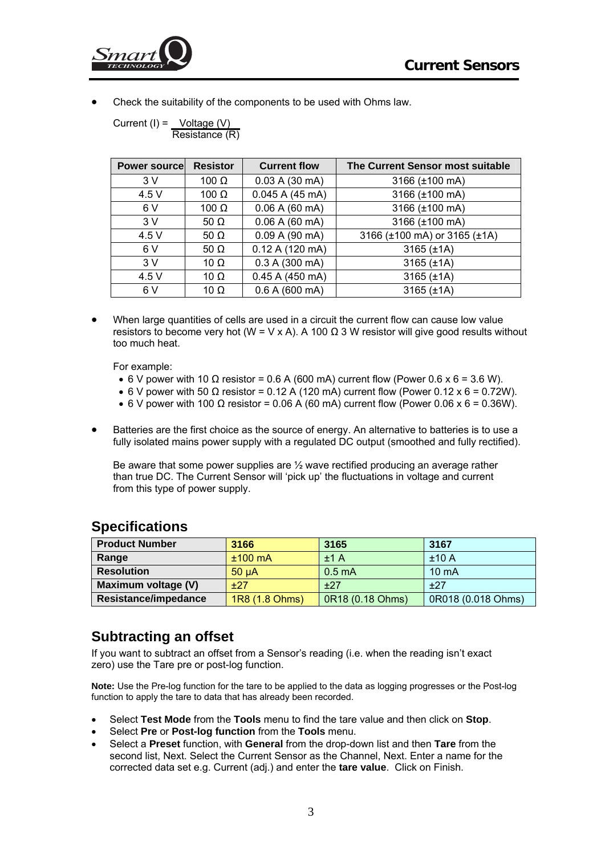<span id="page-2-0"></span>

• Check the suitability of the components to be used with Ohms law.

| Current (I) = | Voltage (V)    |  |
|---------------|----------------|--|
|               | Resistance (R) |  |

| <b>Power sourcel</b> | <b>Resistor</b> | <b>Current flow</b> | The Current Sensor most suitable |
|----------------------|-----------------|---------------------|----------------------------------|
| 3V                   | 100 $\Omega$    | 0.03 A (30 mA)      | 3166 (±100 mA)                   |
| 4.5 V                | 100 $\Omega$    | 0.045 A (45 mA)     | 3166 (±100 mA)                   |
| 6 V                  | 100 $\Omega$    | 0.06 A (60 mA)      | 3166 (±100 mA)                   |
| 3V                   | 50 $\Omega$     | 0.06 A (60 mA)      | 3166 (±100 mA)                   |
| 4.5 V                | 50 $\Omega$     | 0.09 A (90 mA)      | 3166 (±100 mA) or 3165 (±1A)     |
| 6 V                  | 50 $\Omega$     | 0.12 A (120 mA)     | $3165$ ( $\pm$ 1A)               |
| 3V                   | 10 $\Omega$     | 0.3 A (300 mA)      | $3165$ ( $\pm$ 1A)               |
| 4.5V                 | 10 $\Omega$     | $0.45$ A (450 mA)   | $3165$ ( $\pm$ 1A)               |
| 6 V                  | 10 $\Omega$     | 0.6 A (600 mA)      | $3165$ ( $\pm$ 1A)               |

• When large quantities of cells are used in a circuit the current flow can cause low value resistors to become very hot (W = V x A). A 100  $\Omega$  3 W resistor will give good results without too much heat.

For example:

- 6 V power with 10  $\Omega$  resistor = 0.6 A (600 mA) current flow (Power 0.6 x 6 = 3.6 W).
- 6 V power with 50  $\Omega$  resistor = 0.12 A (120 mA) current flow (Power 0.12 x 6 = 0.72W).
- 6 V power with 100  $\Omega$  resistor = 0.06 A (60 mA) current flow (Power 0.06 x 6 = 0.36W).
- Batteries are the first choice as the source of energy. An alternative to batteries is to use a fully isolated mains power supply with a regulated DC output (smoothed and fully rectified).

Be aware that some power supplies are ½ wave rectified producing an average rather than true DC. The Current Sensor will 'pick up' the fluctuations in voltage and current from this type of power supply.

| <b>Product Number</b> | 3166              | 3165               | 3167               |
|-----------------------|-------------------|--------------------|--------------------|
| Range                 | $±100$ mA         | ±1A                | ±10A               |
| <b>Resolution</b>     | 50 <sub>u</sub> A | 0.5 <sub>m</sub> A | $10 \text{ mA}$    |
| Maximum voltage (V)   | $+27$             | ±27                | $+27$              |
| Resistance/impedance  | 1R8 (1.8 Ohms)    | 0R18 (0.18 Ohms)   | 0R018 (0.018 Ohms) |

#### **Specifications**

#### **Subtracting an offset**

If you want to subtract an offset from a Sensor's reading (i.e. when the reading isn't exact zero) use the Tare pre or post-log function.

**Note:** Use the Pre-log function for the tare to be applied to the data as logging progresses or the Post-log function to apply the tare to data that has already been recorded.

- Select **Test Mode** from the **Tools** menu to find the tare value and then click on **Stop**.
- Select **Pre** or **Post-log function** from the **Tools** menu.
- Select a **Preset** function, with **General** from the drop-down list and then **Tare** from the second list, Next. Select the Current Sensor as the Channel, Next. Enter a name for the corrected data set e.g. Current (adj.) and enter the **tare value**. Click on Finish.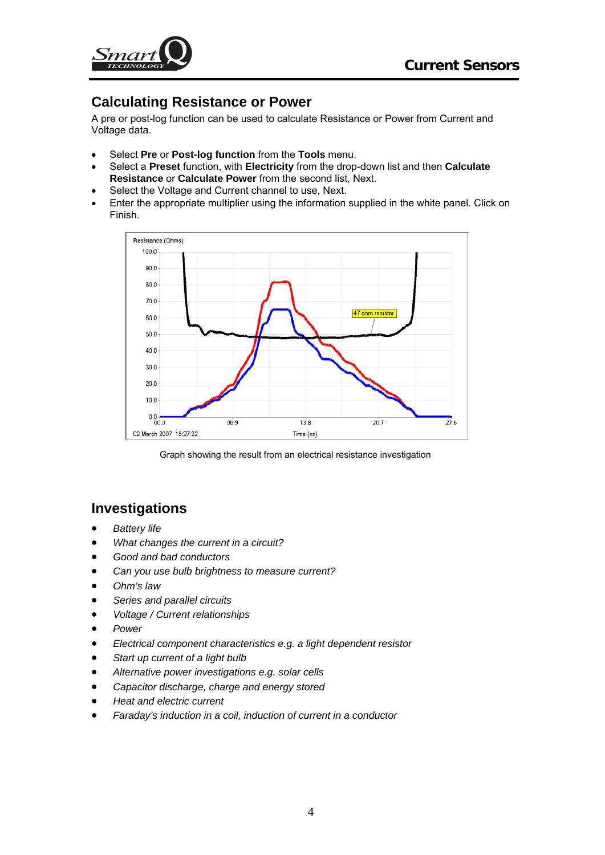<span id="page-3-0"></span>

## **Calculating Resistance or Power**

A pre or post-log function can be used to calculate Resistance or Power from Current and Voltage data.

- Select **Pre** or **Post-log function** from the **Tools** menu.
- Select a **Preset** function, with **Electricity** from the drop-down list and then **Calculate Resistance** or **Calculate Power** from the second list, Next.
- Select the Voltage and Current channel to use, Next.
- Enter the appropriate multiplier using the information supplied in the white panel. Click on Finish.



Graph showing the result from an electrical resistance investigation

## **Investigations**

- *Battery life*
- *What changes the current in a circuit?*
- *Good and bad conductors*
- *Can you use bulb brightness to measure current?*
- *Ohm's law*
- *Series and parallel circuits*
- *Voltage / Current relationships*
- *Power*
- *Electrical component characteristics e.g. a light dependent resistor*
- *Start up current of a light bulb*
- *Alternative power investigations e.g. solar cells*
- *Capacitor discharge, charge and energy stored*
- *Heat and electric current*
- *Faraday's induction in a coil, induction of current in a conductor*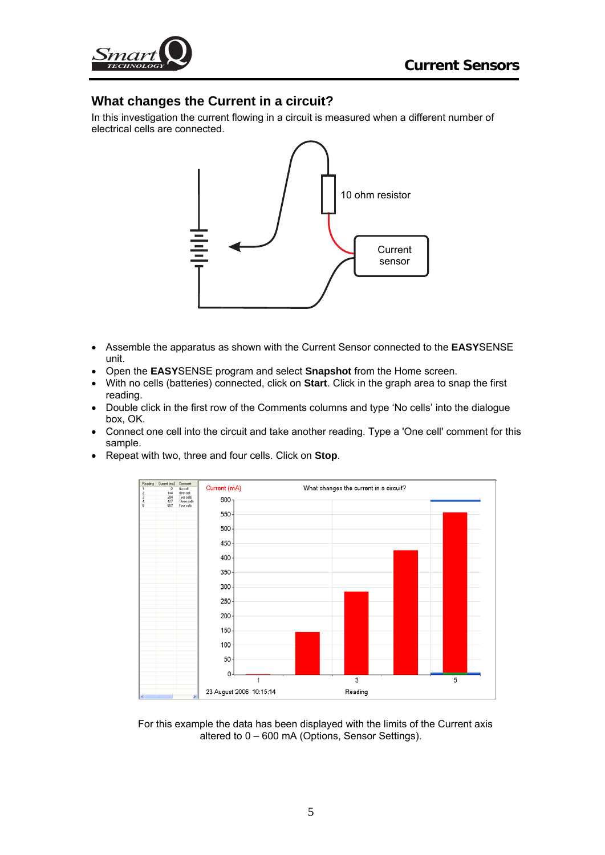<span id="page-4-0"></span>

#### **What changes the Current in a circuit?**

In this investigation the current flowing in a circuit is measured when a different number of electrical cells are connected.



- Assemble the apparatus as shown with the Current Sensor connected to the **EASY**SENSE unit.
- Open the **EASY**SENSE program and select **Snapshot** from the Home screen.
- With no cells (batteries) connected, click on **Start**. Click in the graph area to snap the first reading.
- Double click in the first row of the Comments columns and type 'No cells' into the dialogue box, OK.
- Connect one cell into the circuit and take another reading. Type a 'One cell' comment for this sample.
- Repeat with two, three and four cells. Click on **Stop**.



For this example the data has been displayed with the limits of the Current axis altered to 0 – 600 mA (Options, Sensor Settings).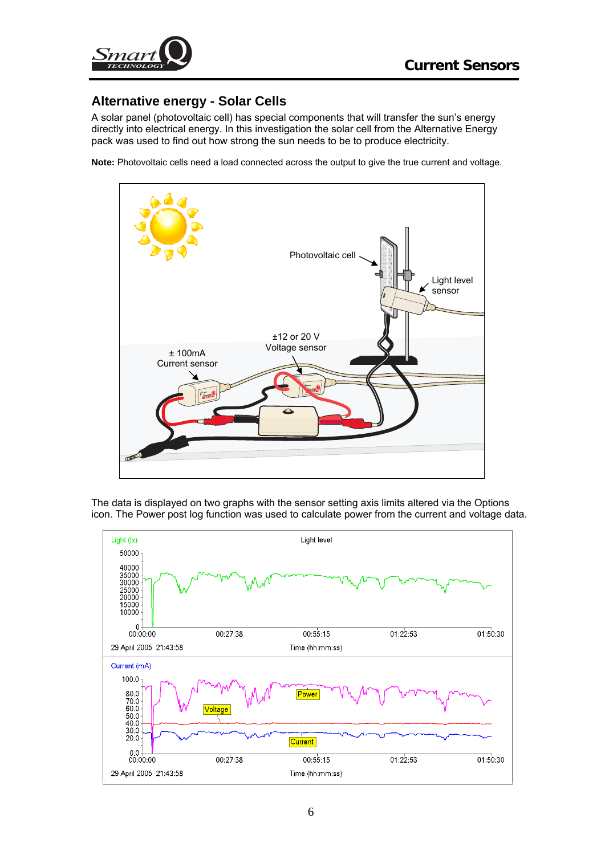<span id="page-5-0"></span>

#### **Alternative energy - Solar Cells**

A solar panel (photovoltaic cell) has special components that will transfer the sun's energy directly into electrical energy. In this investigation the solar cell from the Alternative Energy pack was used to find out how strong the sun needs to be to produce electricity.

**Note:** Photovoltaic cells need a load connected across the output to give the true current and voltage.



The data is displayed on two graphs with the sensor setting axis limits altered via the Options icon. The Power post log function was used to calculate power from the current and voltage data.

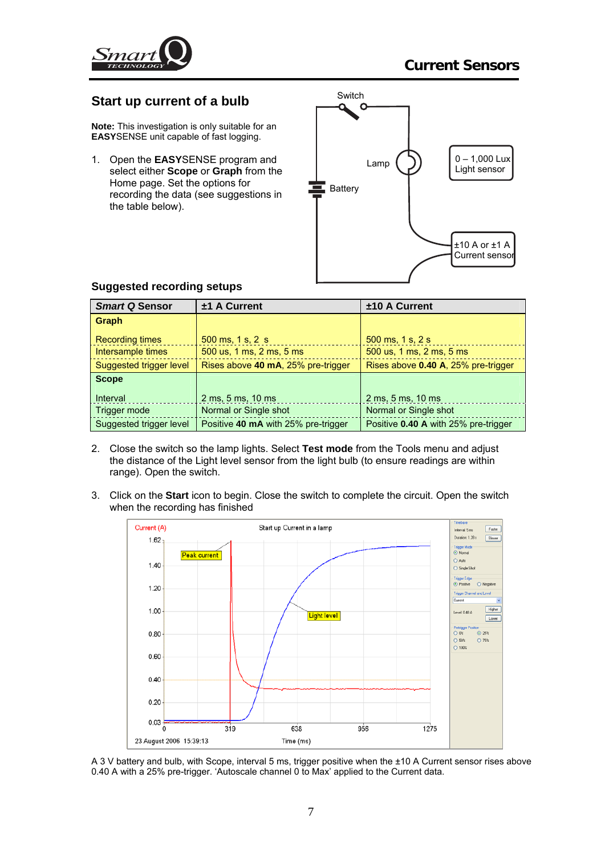<span id="page-6-0"></span>

#### **Start up current of a bulb**

**Note:** This investigation is only suitable for an **EASY**SENSE unit capable of fast logging.

1. Open the **EASY**SENSE program and select either **Scope** or **Graph** from the Home page. Set the options for recording the data (see suggestions in the table below).



| <b>Smart Q Sensor</b>   | $±1$ A Current                      | ±10 A Current                        |
|-------------------------|-------------------------------------|--------------------------------------|
| Graph                   |                                     |                                      |
| <b>Recording times</b>  | $500$ ms, 1 s, 2 s                  | 500 ms, 1 s, 2 s                     |
| Intersample times       | 500 us, 1 ms, 2 ms, 5 ms            | 500 us, 1 ms, 2 ms, 5 ms             |
| Suggested trigger level | Rises above 40 mA, 25% pre-trigger  | Rises above 0.40 A, 25% pre-trigger  |
| <b>Scope</b>            |                                     |                                      |
| Interval                | 2 ms, 5 ms, 10 ms                   | 2 ms, 5 ms, 10 ms                    |
| Trigger mode            | Normal or Single shot               | Normal or Single shot                |
| Suggested trigger level | Positive 40 mA with 25% pre-trigger | Positive 0.40 A with 25% pre-trigger |

#### **Suggested recording setups**

- 2. Close the switch so the lamp lights. Select **Test mode** from the Tools menu and adjust the distance of the Light level sensor from the light bulb (to ensure readings are within range). Open the switch.
- 3. Click on the **Start** icon to begin. Close the switch to complete the circuit. Open the switch when the recording has finished



A 3 V battery and bulb, with Scope, interval 5 ms, trigger positive when the ±10 A Current sensor rises above 0.40 A with a 25% pre-trigger. 'Autoscale channel 0 to Max' applied to the Current data.